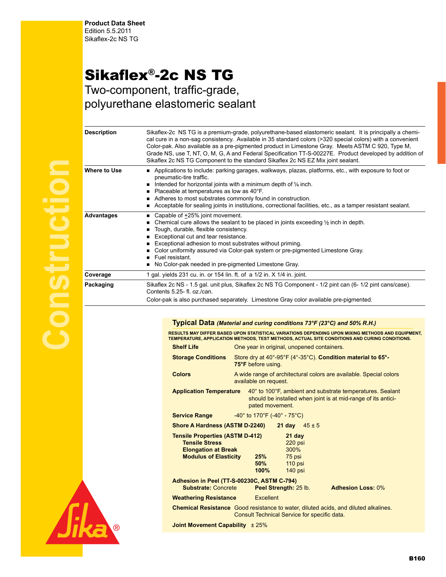## Sikaflex®-2c NS TG

Two-component, traffic-grade, polyurethane elastomeric sealant

| Sikaflex-2c NS TG is a premium-grade, polyurethane-based elastomeric sealant. It is principally a chemi-<br>cal cure in a non-sag consistency. Available in 35 standard colors (>320 special colors) with a convenient<br>Color-pak. Also available as a pre-pigmented product in Limestone Gray. Meets ASTM C 920, Type M,<br>Grade NS, use T, NT, O, M, G, A and Federal Specification TT-S-00227E. Product developed by addition of<br>Sikaflex 2c NS TG Component to the standard Sikaflex 2c NS EZ Mix joint sealant.<br>Applications to include: parking garages, walkways, plazas, platforms, etc., with exposure to foot or<br>pneumatic-tire traffic.<br>Intended for horizontal joints with a minimum depth of $\frac{1}{4}$ inch.<br>Placeable at temperatures as low as 40°F.<br>Adheres to most substrates commonly found in construction.<br>Acceptable for sealing joints in institutions, correctional facilities, etc., as a tamper resistant sealant.<br>Capable of +25% joint movement.<br>Chemical cure allows the sealant to be placed in joints exceeding 1/2 inch in depth.<br>Tough, durable, flexible consistency.<br>Exceptional cut and tear resistance.<br>Exceptional adhesion to most substrates without priming.<br>Color uniformity assured via Color-pak system or pre-pigmented Limestone Gray.<br>Fuel resistant<br>No Color-pak needed in pre-pigmented Limestone Gray.<br>1 gal. yields 231 cu. in. or 154 lin. ft. of a 1/2 in. X 1/4 in. joint.<br>Sikaflex 2c NS - 1.5 gal. unit plus, Sikaflex 2c NS TG Component - 1/2 pint can (6- 1/2 pint cans/case).<br>Contents 5.25-fl. oz./can.<br>Color-pak is also purchased separately. Limestone Gray color available pre-pigmented. |                    |  |
|---------------------------------------------------------------------------------------------------------------------------------------------------------------------------------------------------------------------------------------------------------------------------------------------------------------------------------------------------------------------------------------------------------------------------------------------------------------------------------------------------------------------------------------------------------------------------------------------------------------------------------------------------------------------------------------------------------------------------------------------------------------------------------------------------------------------------------------------------------------------------------------------------------------------------------------------------------------------------------------------------------------------------------------------------------------------------------------------------------------------------------------------------------------------------------------------------------------------------------------------------------------------------------------------------------------------------------------------------------------------------------------------------------------------------------------------------------------------------------------------------------------------------------------------------------------------------------------------------------------------------------------------------------------------------------------------------------------------------|--------------------|--|
|                                                                                                                                                                                                                                                                                                                                                                                                                                                                                                                                                                                                                                                                                                                                                                                                                                                                                                                                                                                                                                                                                                                                                                                                                                                                                                                                                                                                                                                                                                                                                                                                                                                                                                                           | <b>Description</b> |  |
|                                                                                                                                                                                                                                                                                                                                                                                                                                                                                                                                                                                                                                                                                                                                                                                                                                                                                                                                                                                                                                                                                                                                                                                                                                                                                                                                                                                                                                                                                                                                                                                                                                                                                                                           | Where to Use       |  |
|                                                                                                                                                                                                                                                                                                                                                                                                                                                                                                                                                                                                                                                                                                                                                                                                                                                                                                                                                                                                                                                                                                                                                                                                                                                                                                                                                                                                                                                                                                                                                                                                                                                                                                                           | <b>Advantages</b>  |  |
|                                                                                                                                                                                                                                                                                                                                                                                                                                                                                                                                                                                                                                                                                                                                                                                                                                                                                                                                                                                                                                                                                                                                                                                                                                                                                                                                                                                                                                                                                                                                                                                                                                                                                                                           | Coverage           |  |
|                                                                                                                                                                                                                                                                                                                                                                                                                                                                                                                                                                                                                                                                                                                                                                                                                                                                                                                                                                                                                                                                                                                                                                                                                                                                                                                                                                                                                                                                                                                                                                                                                                                                                                                           | Packaging          |  |

## **Typical Data** *(Material and curing conditions 73°F (23°C) and 50% R.H.)*

RESULTS MAY DIFFER BASED UPON STATISTICAL VARIATIONS DEPENDING UPON MIXING METHODS AND EQUIPMENT,<br>TEMPERATURE, APPLICATION METHODS, TEST METHODS, ACTUAL SITE CONDITIONS AND CURING CONDITIONS.

| <b>Shelf Life</b>                                                                                                                          | One year in original, unopened containers.                                                                                                    |  |  |  |
|--------------------------------------------------------------------------------------------------------------------------------------------|-----------------------------------------------------------------------------------------------------------------------------------------------|--|--|--|
| <b>Storage Conditions</b>                                                                                                                  | Store dry at 40°-95°F (4°-35°C). Condition material to 65°-<br>75°F before using.                                                             |  |  |  |
| <b>Colors</b>                                                                                                                              | A wide range of architectural colors are available. Special colors<br>available on request.                                                   |  |  |  |
| <b>Application Temperature</b>                                                                                                             | 40° to 100°F, ambient and substrate temperatures. Sealant<br>should be installed when joint is at mid-range of its antici-<br>pated movement. |  |  |  |
| <b>Service Range</b>                                                                                                                       | -40 $^{\circ}$ to 170 $^{\circ}$ F (-40 $^{\circ}$ - 75 $^{\circ}$ C)                                                                         |  |  |  |
| Shore A Hardness (ASTM D-2240)<br><b>21 day</b> $45 \pm 5$                                                                                 |                                                                                                                                               |  |  |  |
| <b>Tensile Properties (ASTM D-412)</b><br><b>Tensile Stress</b><br><b>Elongation at Break</b><br><b>Modulus of Elasticity</b>              | 21 day<br>$220$ psi<br>300%<br>75 psi<br>25%<br>$50\%$<br>$110$ psi<br>100%<br>140 psi                                                        |  |  |  |
| Adhesion in Peel (TT-S-00230C, ASTM C-794)<br><b>Substrate: Concrete</b><br>Peel Strength: 25 lb.<br><b>Adhesion Loss: 0%</b>              |                                                                                                                                               |  |  |  |
| <b>Weathering Resistance</b>                                                                                                               | Excellent                                                                                                                                     |  |  |  |
| <b>Chemical Resistance</b> Good resistance to water, diluted acids, and diluted alkalines.<br>Consult Technical Service for specific data. |                                                                                                                                               |  |  |  |
|                                                                                                                                            | Joint Movement Capability $\pm 25\%$                                                                                                          |  |  |  |